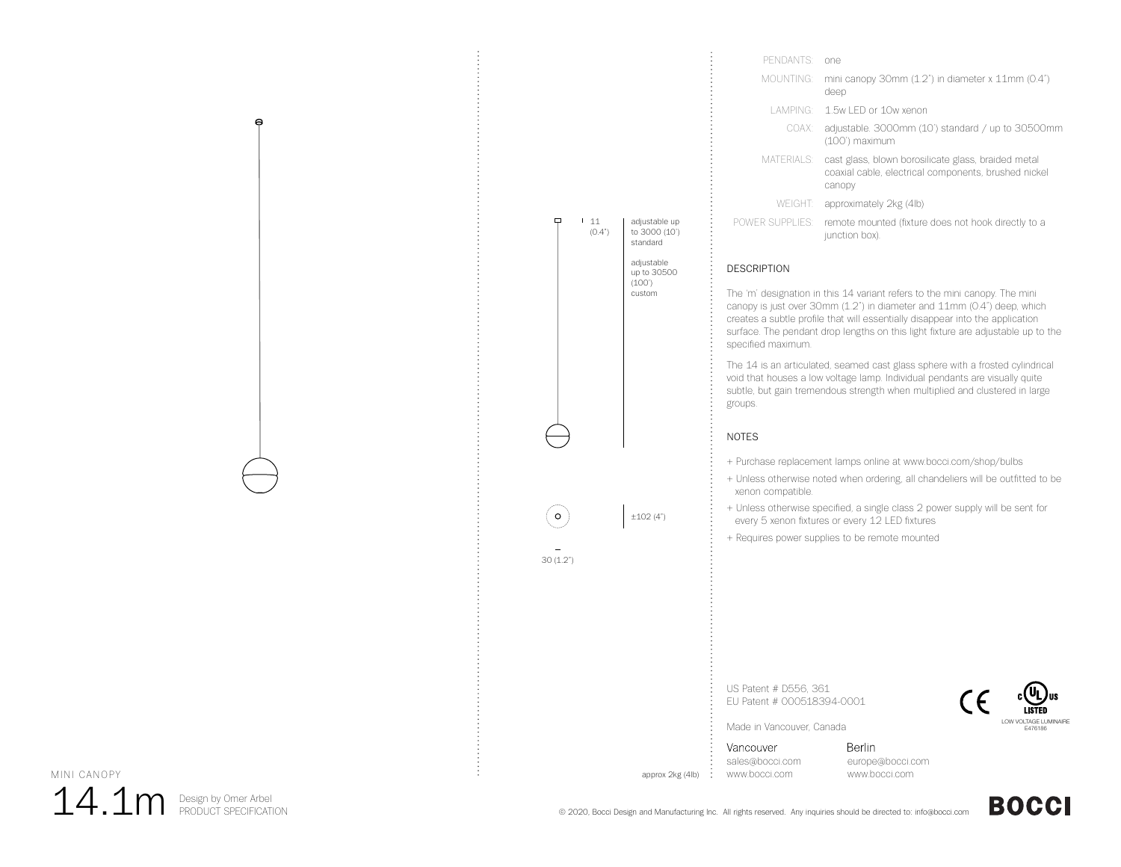

| PENDANTS <sup>.</sup> | one.                                                                                                                  |
|-----------------------|-----------------------------------------------------------------------------------------------------------------------|
| MOUNTING: I           | mini canopy 30mm (1.2") in diameter x 11mm (0.4")<br>deep                                                             |
|                       | LAMPING: 1.5w LED or 10w xenon                                                                                        |
| COAX:                 | adjustable. 3000mm (10') standard / up to 30500mm<br>(100') maximum                                                   |
| MATERIALS:            | cast glass, blown borosilicate glass, braided metal<br>coaxial cable, electrical components, brushed nickel<br>canopy |
| WEIGHT                | approximately 2kg (4lb)                                                                                               |
| POWER SUPPLIES:       | remote mounted (fixture does not hook directly to a<br>junction box).                                                 |

## DESCRIPTION

The 'm' designation in this 14 variant refers to the mini canopy. The mini canopy is just over 30mm (1.2") in diameter and 11mm (0.4") deep, which creates a subtle profile that will essentially disappear into the application surface. The pendant drop lengths on this light fixture are adjustable up to the specified maximum.

The 14 is an articulated, seamed cast glass sphere with a frosted cylindrical void that houses a low voltage lamp. Individual pendants are visually quite subtle, but gain tremendous strength when multiplied and clustered in large groups.

## NOTES

- + Purchase replacement lamps online at www.bocci.com/shop/bulbs
- + Unless otherwise noted when ordering, all chandeliers will be outfitted to be xenon compatible.
- + Unless otherwise specified, a single class 2 power supply will be sent for every 5 xenon fixtures or every 12 LED fixtures
- + Requires power supplies to be remote mounted

US Patent # D556, 361 EU Patent # 000518394-0001



Made in Vancouver, Canada

Vancouver sales@bocci.com www.bocci.com

approx 2kg (4lb)

Berlin europe@bocci.com www.bocci.com



**BOCCI** 

MINI CANOPY

 $14.1\mathrm{m}$  Design by Omer Arbel

 $\Theta$